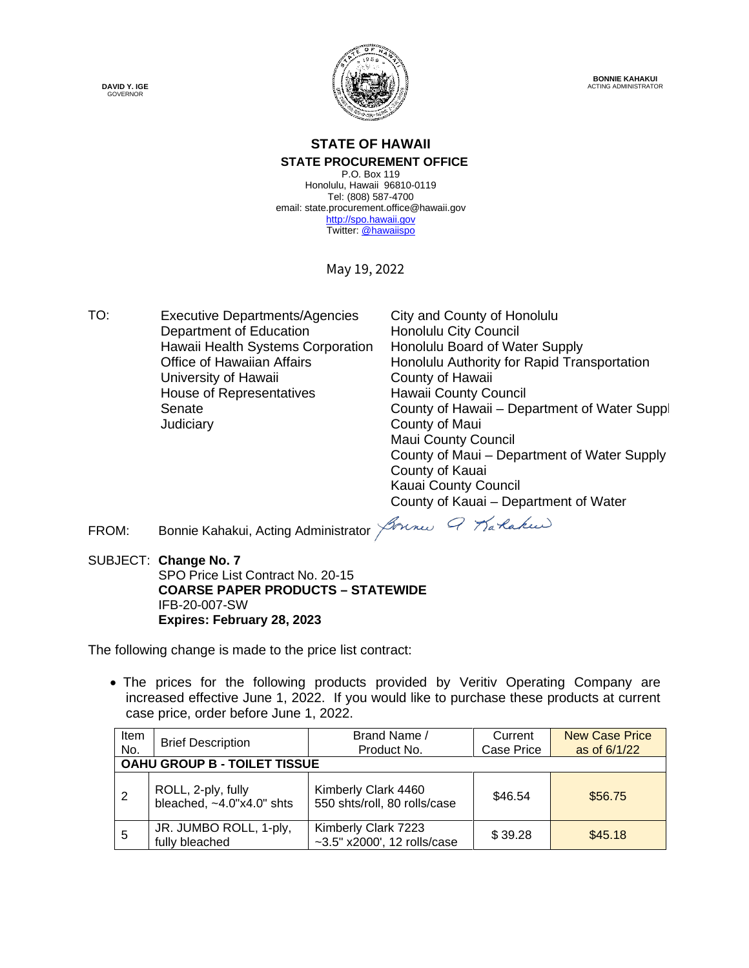**DAVID Y. IGE** GOVERNOR



**BONNIE KAHAKUI** ACTING ADMINISTRATOR

#### **STATE OF HAWAII STATE PROCUREMENT OFFICE**

P.O. Box 119 Honolulu, Hawaii 96810-0119 Tel: (808) 587-4700 email: state.procurement.office@hawaii.gov [http://spo.hawaii.gov](http://spo.hawaii.gov/) Twitter[: @hawaiispo](https://twitter.com/hawaiispo)

May 19, 2022

TO: Executive Departments/Agencies City and County of Honolulu<br>Department of Education Honolulu City Council Department of Education Hawaii Health Systems Corporation Honolulu Board of Water Supply<br>Office of Hawaiian Affairs Honolulu Authority for Rapid Tran University of Hawaii **County of Hawaii** House of Representatives Senate Judiciary County of Maui

Honolulu Authority for Rapid Transportation Hawaii County Council County of Hawaii – Department of Water Suppl Maui County Council County of Maui – Department of Water Supply County of Kauai Kauai County Council County of Kauai – Department of Water

FROM: Bonnie Kahakui, Acting Administrator *Joune 9 Karlaku* 

SUBJECT: **Change No. 7** SPO Price List Contract No. 20-15 **COARSE PAPER PRODUCTS – STATEWIDE** IFB-20-007-SW **Expires: February 28, 2023**

The following change is made to the price list contract:

• The prices for the following products provided by Veritiv Operating Company are increased effective June 1, 2022. If you would like to purchase these products at current case price, order before June 1, 2022.

| Item<br>No.                  | <b>Brief Description</b>                                    | Brand Name /<br>Product No.                          | Current<br>Case Price | <b>New Case Price</b><br>as of 6/1/22 |  |  |  |
|------------------------------|-------------------------------------------------------------|------------------------------------------------------|-----------------------|---------------------------------------|--|--|--|
| OAHU GROUP B - TOILET TISSUE |                                                             |                                                      |                       |                                       |  |  |  |
| -2                           | ROLL, 2-ply, fully<br>bleached, $~4.0$ " $\times$ 4.0" shts | Kimberly Clark 4460<br>550 shts/roll, 80 rolls/case  | \$46.54               | \$56.75                               |  |  |  |
| -5                           | JR. JUMBO ROLL, 1-ply,<br>fully bleached                    | Kimberly Clark 7223<br>$-3.5"$ x2000', 12 rolls/case | \$39.28               | \$45.18                               |  |  |  |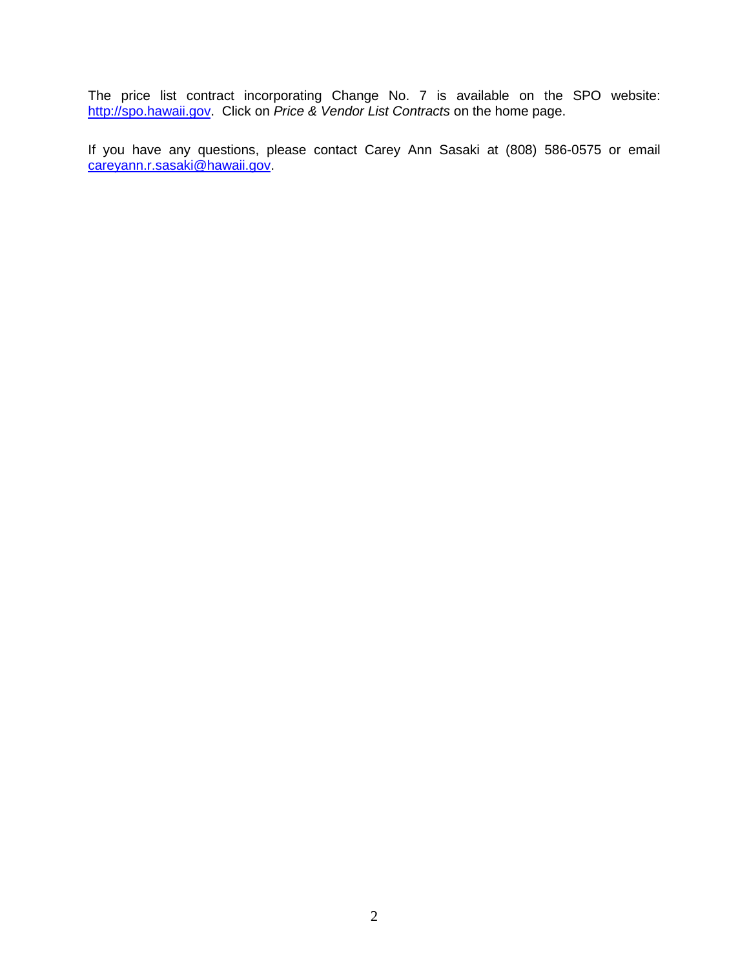The price list contract incorporating Change No. 7 is available on the SPO website: [http://spo.hawaii.gov.](http://spo.hawaii.gov/) Click on *Price & Vendor List Contracts* on the home page.

If you have any questions, please contact Carey Ann Sasaki at (808) 586-0575 or email [careyann.r.sasaki@hawaii.gov.](mailto:careyann.r.sasaki@hawaii.gov)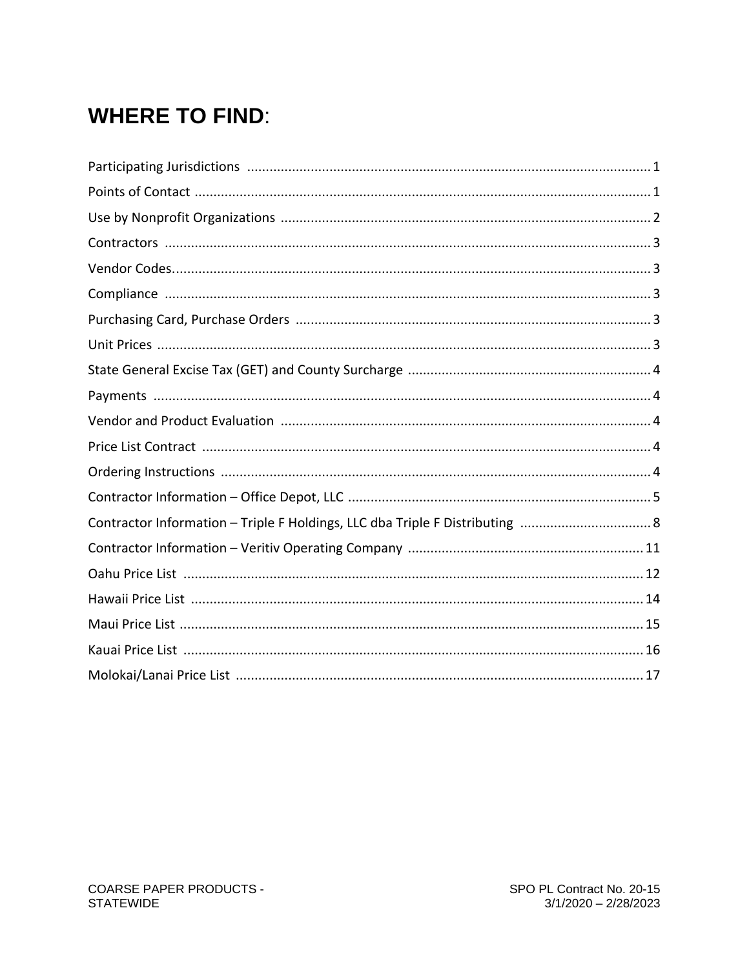# **WHERE TO FIND:**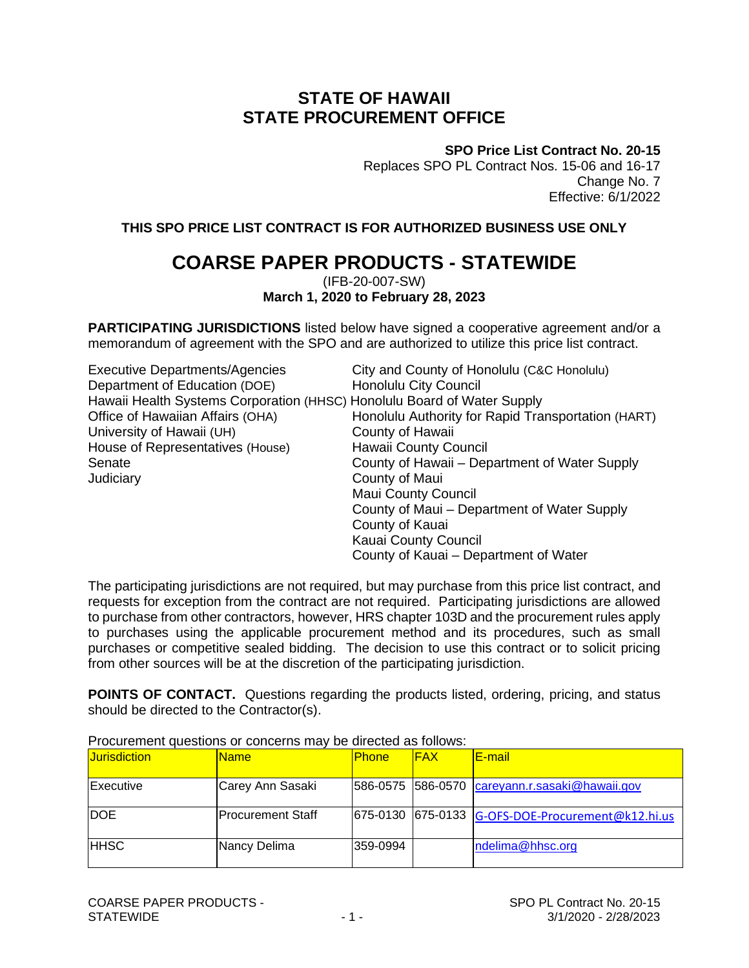### **STATE OF HAWAII STATE PROCUREMENT OFFICE**

**SPO Price List Contract No. 20-15**

Replaces SPO PL Contract Nos. 15-06 and 16-17 Change No. 7 Effective: 6/1/2022

**THIS SPO PRICE LIST CONTRACT IS FOR AUTHORIZED BUSINESS USE ONLY**

### **COARSE PAPER PRODUCTS - STATEWIDE**

(IFB-20-007-SW) **March 1, 2020 to February 28, 2023**

**PARTICIPATING JURISDICTIONS** listed below have signed a cooperative agreement and/or a memorandum of agreement with the SPO and are authorized to utilize this price list contract.

| <b>Executive Departments/Agencies</b>                                   | City and County of Honolulu (C&C Honolulu)         |
|-------------------------------------------------------------------------|----------------------------------------------------|
| Department of Education (DOE)                                           | <b>Honolulu City Council</b>                       |
| Hawaii Health Systems Corporation (HHSC) Honolulu Board of Water Supply |                                                    |
| Office of Hawaiian Affairs (OHA)                                        | Honolulu Authority for Rapid Transportation (HART) |
| University of Hawaii (UH)                                               | County of Hawaii                                   |
| House of Representatives (House)                                        | Hawaii County Council                              |
| Senate                                                                  | County of Hawaii – Department of Water Supply      |
| Judiciary                                                               | County of Maui                                     |
|                                                                         | <b>Maui County Council</b>                         |
|                                                                         | County of Maui – Department of Water Supply        |
|                                                                         | County of Kauai                                    |
|                                                                         | Kauai County Council                               |
|                                                                         | County of Kauai – Department of Water              |

The participating jurisdictions are not required, but may purchase from this price list contract, and requests for exception from the contract are not required. Participating jurisdictions are allowed to purchase from other contractors, however, HRS chapter 103D and the procurement rules apply to purchases using the applicable procurement method and its procedures, such as small purchases or competitive sealed bidding. The decision to use this contract or to solicit pricing from other sources will be at the discretion of the participating jurisdiction.

**POINTS OF CONTACT.** Questions regarding the products listed, ordering, pricing, and status should be directed to the Contractor(s).

| <b>Jurisdiction</b> | <b>Name</b>              | <b>Phone</b> | <b>IFAX</b> | <b>E-mail</b>                                     |
|---------------------|--------------------------|--------------|-------------|---------------------------------------------------|
| Executive           | Carey Ann Sasaki         |              |             | 586-0575 586-0570 careyann.r.sasaki@hawaii.gov    |
| <b>IDOE</b>         | <b>Procurement Staff</b> |              |             | 675-0130 675-0133 G-OFS-DOE-Procurement@k12.hi.us |
| <b>HHSC</b>         | Nancy Delima             | 359-0994     |             | ndelima@hhsc.org                                  |

Procurement questions or concerns may be directed as follows: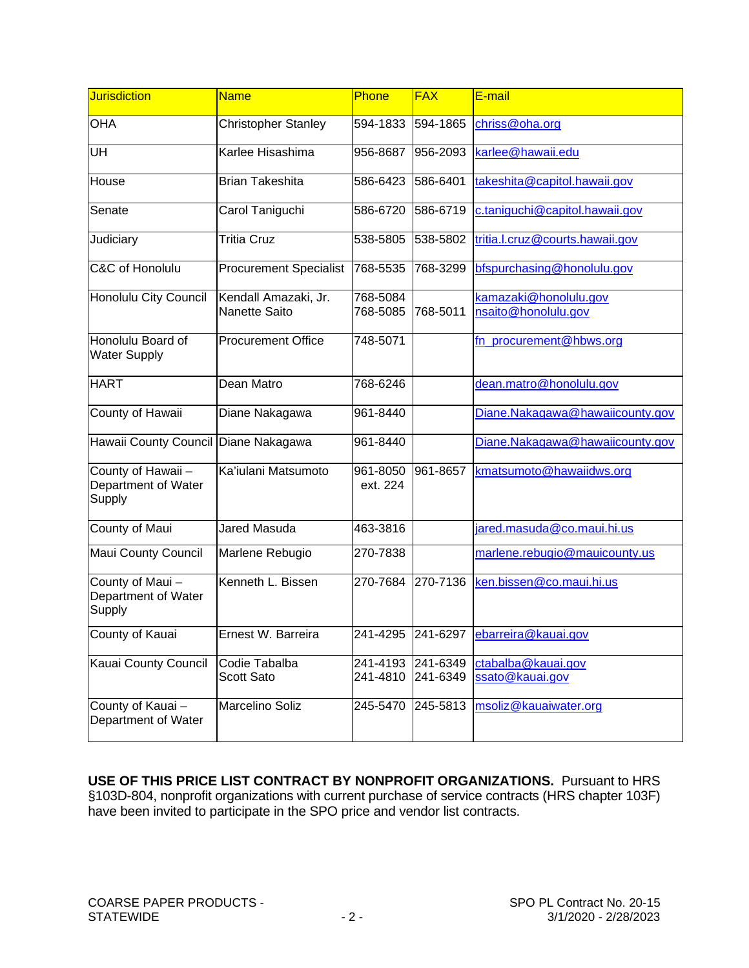| <b>Jurisdiction</b>                                 | <b>Name</b>                           | Phone                | <b>FAX</b>           | E-mail                                       |
|-----------------------------------------------------|---------------------------------------|----------------------|----------------------|----------------------------------------------|
| <b>OHA</b>                                          | <b>Christopher Stanley</b>            | 594-1833             | 594-1865             | chriss@oha.org                               |
| UH                                                  | Karlee Hisashima                      | 956-8687             | 956-2093             | karlee@hawaii.edu                            |
| House                                               | <b>Brian Takeshita</b>                | 586-6423             | 586-6401             | takeshita@capitol.hawaii.gov                 |
| Senate                                              | Carol Taniguchi                       | 586-6720             | 586-6719             | c.taniguchi@capitol.hawaii.gov               |
| Judiciary                                           | <b>Tritia Cruz</b>                    | 538-5805             | 538-5802             | tritia.l.cruz@courts.hawaii.gov              |
| C&C of Honolulu                                     | <b>Procurement Specialist</b>         | 768-5535             | 768-3299             | bfspurchasing@honolulu.gov                   |
| Honolulu City Council                               | Kendall Amazaki, Jr.<br>Nanette Saito | 768-5084<br>768-5085 | 768-5011             | kamazaki@honolulu.gov<br>nsaito@honolulu.gov |
| Honolulu Board of<br><b>Water Supply</b>            | <b>Procurement Office</b>             | 748-5071             |                      | fn_procurement@hbws.org                      |
| <b>HART</b>                                         | Dean Matro                            | 768-6246             |                      | dean.matro@honolulu.gov                      |
| County of Hawaii                                    | Diane Nakagawa                        | 961-8440             |                      | Diane.Nakagawa@hawaiicounty.gov              |
| Hawaii County Council Diane Nakagawa                |                                       | 961-8440             |                      | Diane.Nakagawa@hawaiicounty.gov              |
| County of Hawaii -<br>Department of Water<br>Supply | Ka'iulani Matsumoto                   | 961-8050<br>ext. 224 | 961-8657             | kmatsumoto@hawaiidws.org                     |
| County of Maui                                      | Jared Masuda                          | 463-3816             |                      | jared.masuda@co.maui.hi.us                   |
| Maui County Council                                 | Marlene Rebugio                       | 270-7838             |                      | marlene.rebugio@mauicounty.us                |
| County of Maui-<br>Department of Water<br>Supply    | Kenneth L. Bissen                     | 270-7684             | 270-7136             | ken.bissen@co.maui.hi.us                     |
| County of Kauai                                     | Ernest W. Barreira                    |                      |                      | 241-4295 241-6297 ebarreira@kauai.gov        |
| Kauai County Council                                | Codie Tabalba<br>Scott Sato           | 241-4193<br>241-4810 | 241-6349<br>241-6349 | ctabalba@kauai.gov<br>ssato@kauai.gov        |
| County of Kauai-<br>Department of Water             | Marcelino Soliz                       | 245-5470             | 245-5813             | msoliz@kauaiwater.org                        |

**USE OF THIS PRICE LIST CONTRACT BY NONPROFIT ORGANIZATIONS.** Pursuant to HRS §103D-804, nonprofit organizations with current purchase of service contracts (HRS chapter 103F) have been invited to participate in the SPO price and vendor list contracts.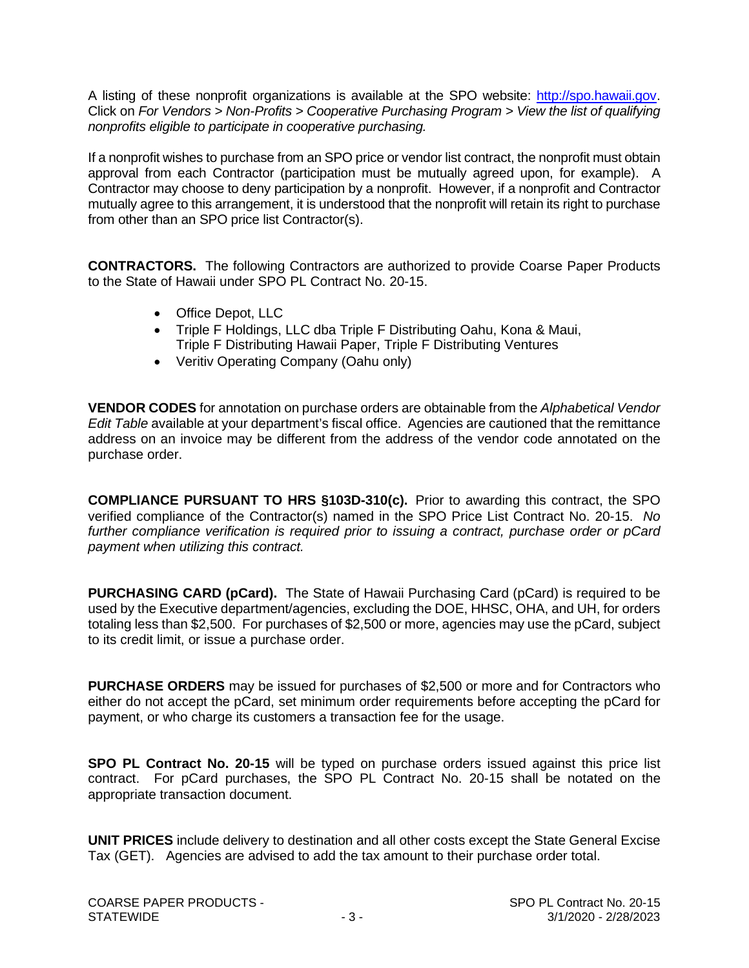A listing of these nonprofit organizations is available at the SPO website: [http://spo.hawaii.gov.](http://spo.hawaii.gov/) Click on *For Vendors > Non-Profits > Cooperative Purchasing Program > View the list of qualifying nonprofits eligible to participate in cooperative purchasing.*

If a nonprofit wishes to purchase from an SPO price or vendor list contract, the nonprofit must obtain approval from each Contractor (participation must be mutually agreed upon, for example). A Contractor may choose to deny participation by a nonprofit. However, if a nonprofit and Contractor mutually agree to this arrangement, it is understood that the nonprofit will retain its right to purchase from other than an SPO price list Contractor(s).

**CONTRACTORS.** The following Contractors are authorized to provide Coarse Paper Products to the State of Hawaii under SPO PL Contract No. 20-15.

- Office Depot, LLC
- Triple F Holdings, LLC dba Triple F Distributing Oahu, Kona & Maui, Triple F Distributing Hawaii Paper, Triple F Distributing Ventures
- Veritiv Operating Company (Oahu only)

**VENDOR CODES** for annotation on purchase orders are obtainable from the *Alphabetical Vendor Edit Table* available at your department's fiscal office. Agencies are cautioned that the remittance address on an invoice may be different from the address of the vendor code annotated on the purchase order.

**COMPLIANCE PURSUANT TO HRS §103D-310(c).** Prior to awarding this contract, the SPO verified compliance of the Contractor(s) named in the SPO Price List Contract No. 20-15. *No further compliance verification is required prior to issuing a contract, purchase order or pCard payment when utilizing this contract.*

**PURCHASING CARD (pCard).** The State of Hawaii Purchasing Card (pCard) is required to be used by the Executive department/agencies, excluding the DOE, HHSC, OHA, and UH, for orders totaling less than \$2,500. For purchases of \$2,500 or more, agencies may use the pCard, subject to its credit limit, or issue a purchase order.

**PURCHASE ORDERS** may be issued for purchases of \$2,500 or more and for Contractors who either do not accept the pCard, set minimum order requirements before accepting the pCard for payment, or who charge its customers a transaction fee for the usage.

**SPO PL Contract No. 20-15** will be typed on purchase orders issued against this price list contract. For pCard purchases, the SPO PL Contract No. 20-15 shall be notated on the appropriate transaction document.

**UNIT PRICES** include delivery to destination and all other costs except the State General Excise Tax (GET). Agencies are advised to add the tax amount to their purchase order total.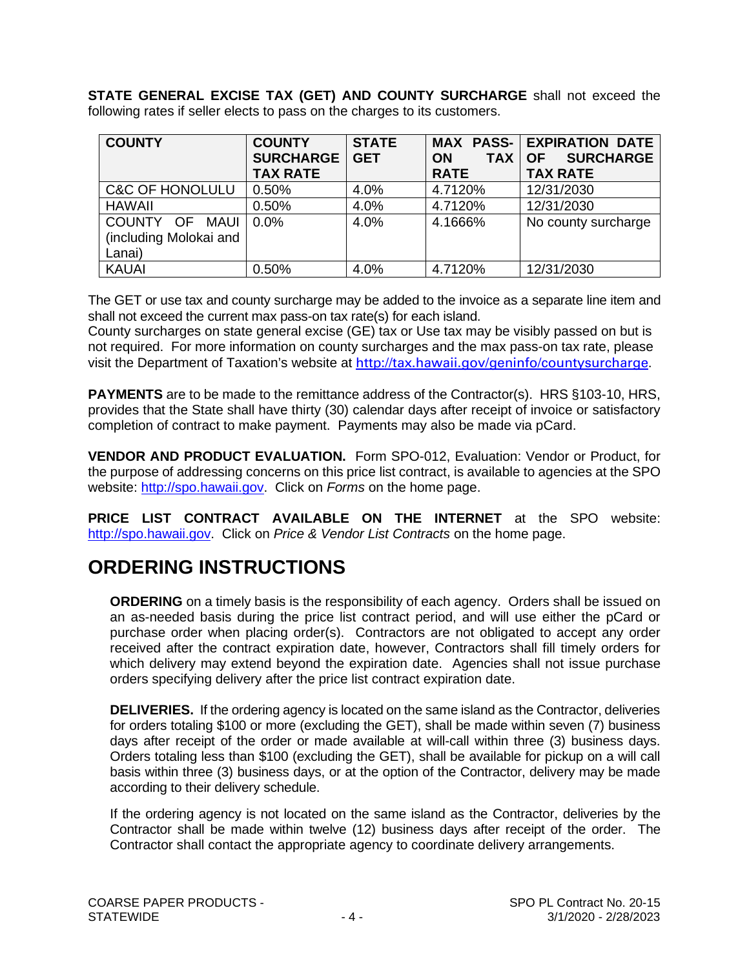**STATE GENERAL EXCISE TAX (GET) AND COUNTY SURCHARGE** shall not exceed the following rates if seller elects to pass on the charges to its customers.

| <b>COUNTY</b>                                      | <b>COUNTY</b><br><b>SURCHARGE</b><br><b>TAX RATE</b> | <b>STATE</b><br><b>GET</b> | <b>TAX</b><br><b>ON</b><br><b>RATE</b> | <b>MAX PASS- EXPIRATION DATE</b><br><b>SURCHARGE</b><br><b>OF</b><br><b>TAX RATE</b> |
|----------------------------------------------------|------------------------------------------------------|----------------------------|----------------------------------------|--------------------------------------------------------------------------------------|
| <b>C&amp;C OF HONOLULU</b>                         | 0.50%                                                | 4.0%                       | 4.7120%                                | 12/31/2030                                                                           |
| <b>HAWAII</b>                                      | 0.50%                                                | 4.0%                       | 4.7120%                                | 12/31/2030                                                                           |
| COUNTY OF MAUI<br>(including Molokai and<br>Lanai) | $0.0\%$                                              | 4.0%                       | 4.1666%                                | No county surcharge                                                                  |
| <b>KAUAI</b>                                       | 0.50%                                                | 4.0%                       | 4.7120%                                | 12/31/2030                                                                           |

The GET or use tax and county surcharge may be added to the invoice as a separate line item and shall not exceed the current max pass-on tax rate(s) for each island.

County surcharges on state general excise (GE) tax or Use tax may be visibly passed on but is not required. For more information on county surcharges and the max pass-on tax rate, please visit the Department of Taxation's website at<http://tax.hawaii.gov/geninfo/countysurcharge>.

**PAYMENTS** are to be made to the remittance address of the Contractor(s). HRS §103-10, HRS, provides that the State shall have thirty (30) calendar days after receipt of invoice or satisfactory completion of contract to make payment. Payments may also be made via pCard.

**VENDOR AND PRODUCT EVALUATION.** Form SPO-012, Evaluation: Vendor or Product, for the purpose of addressing concerns on this price list contract, is available to agencies at the SPO website: [http://spo.hawaii.gov.](http://spo.hawaii.gov/) Click on *Forms* on the home page.

**PRICE LIST CONTRACT AVAILABLE ON THE INTERNET** at the SPO website: [http://spo.hawaii.gov.](http://spo.hawaii.gov/) Click on *Price & Vendor List Contracts* on the home page.

### **ORDERING INSTRUCTIONS**

**ORDERING** on a timely basis is the responsibility of each agency. Orders shall be issued on an as-needed basis during the price list contract period, and will use either the pCard or purchase order when placing order(s). Contractors are not obligated to accept any order received after the contract expiration date, however, Contractors shall fill timely orders for which delivery may extend beyond the expiration date. Agencies shall not issue purchase orders specifying delivery after the price list contract expiration date.

**DELIVERIES.** If the ordering agency is located on the same island as the Contractor, deliveries for orders totaling \$100 or more (excluding the GET), shall be made within seven (7) business days after receipt of the order or made available at will-call within three (3) business days. Orders totaling less than \$100 (excluding the GET), shall be available for pickup on a will call basis within three (3) business days, or at the option of the Contractor, delivery may be made according to their delivery schedule.

If the ordering agency is not located on the same island as the Contractor, deliveries by the Contractor shall be made within twelve (12) business days after receipt of the order. The Contractor shall contact the appropriate agency to coordinate delivery arrangements.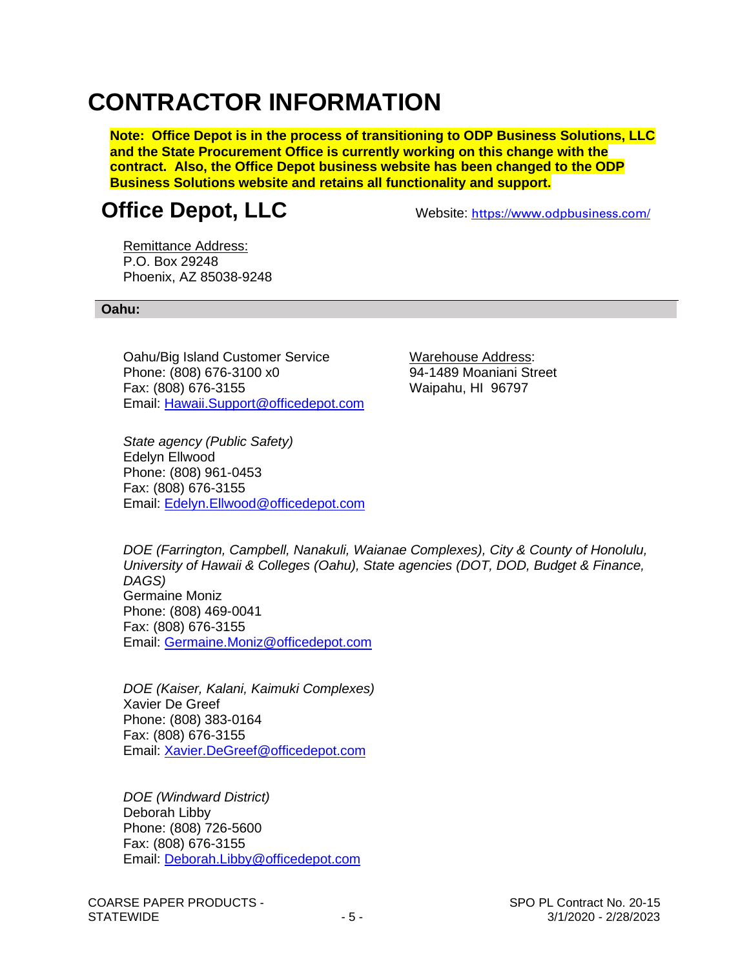# **CONTRACTOR INFORMATION**

**Note: Office Depot is in the process of transitioning to ODP Business Solutions, LLC and the State Procurement Office is currently working on this change with the contract. Also, the Office Depot business website has been changed to the ODP Business Solutions website and retains all functionality and support.**

### **Office Depot, LLC** Website: <https://www.odpbusiness.com/>

Remittance Address: P.O. Box 29248 Phoenix, AZ 85038-9248

#### **Oahu:**

Oahu/Big Island Customer Service Warehouse Address: Phone: (808) 676-3100 x0 94-1489 Moaniani Street Fax: (808) 676-3155 Waipahu, HI 96797 Email: [Hawaii.Support@officedepot.com](mailto:Hawaii.Support@officedepot.com)

*State agency (Public Safety)* Edelyn Ellwood Phone: (808) 961-0453 Fax: (808) 676-3155 Email: [Edelyn.Ellwood@officedepot.com](mailto:Edelyn.Ellwood@officedepot.com)

*DOE (Farrington, Campbell, Nanakuli, Waianae Complexes), City & County of Honolulu, University of Hawaii & Colleges (Oahu), State agencies (DOT, DOD, Budget & Finance, DAGS)* Germaine Moniz Phone: (808) 469-0041 Fax: (808) 676-3155 Email: [Germaine.Moniz@officedepot.com](mailto:Germaine.Moniz@officedepot.com)

*DOE (Kaiser, Kalani, Kaimuki Complexes)* Xavier De Greef Phone: (808) 383-0164 Fax: (808) 676-3155 Email: [Xavier.DeGreef@officedepot.com](mailto:Xavier.DeGreef@officedepot.com)

*DOE (Windward District)* Deborah Libby Phone: (808) 726-5600 Fax: (808) 676-3155 Email: [Deborah.Libby@officedepot.com](mailto:Deborah.Libby@officedepot.com)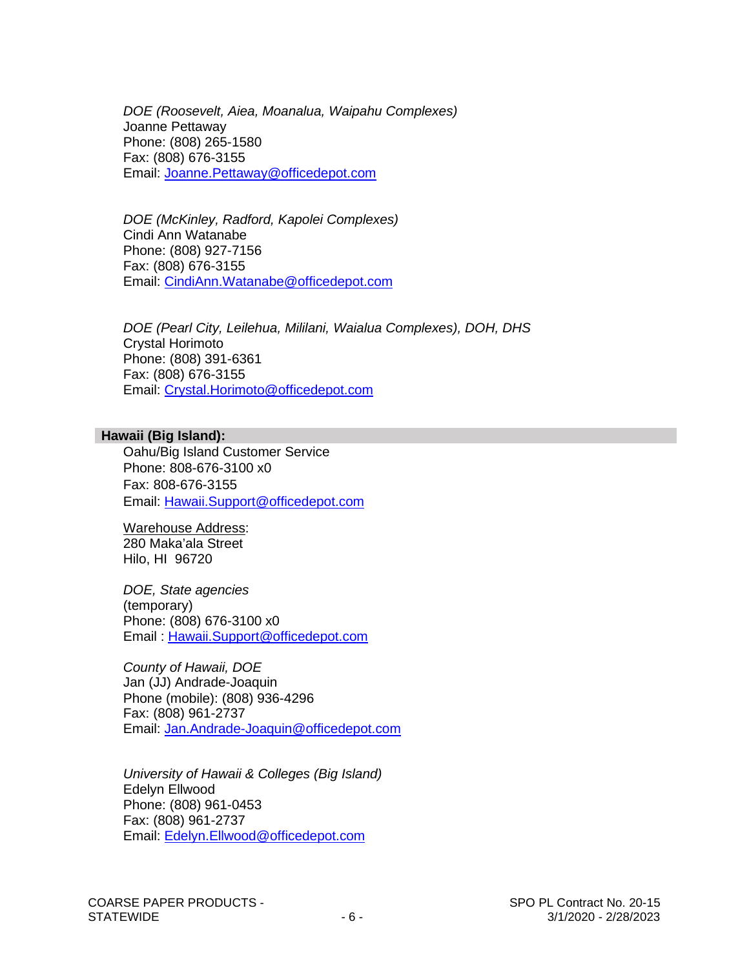*DOE (Roosevelt, Aiea, Moanalua, Waipahu Complexes)* Joanne Pettaway Phone: (808) 265-1580 Fax: (808) 676-3155 Email: [Joanne.Pettaway@officedepot.com](mailto:Joanne.Pettaway@officedepot.com)

*DOE (McKinley, Radford, Kapolei Complexes)* Cindi Ann Watanabe Phone: (808) 927-7156 Fax: (808) 676-3155 Email: [CindiAnn.Watanabe@officedepot.com](mailto:CindiAnn.Watanabe@officedepot.com)

*DOE (Pearl City, Leilehua, Mililani, Waialua Complexes), DOH, DHS* Crystal Horimoto Phone: (808) 391-6361 Fax: (808) 676-3155 Email: [Crystal.Horimoto@officedepot.com](mailto:Crystal.Horimoto@officedepot.com)

#### **Hawaii (Big Island):**

Oahu/Big Island Customer Service Phone: 808-676-3100 x0 Fax: 808-676-3155 Email: [Hawaii.Support@officedepot.com](mailto:Hawaii.Support@officedepot.com)

Warehouse Address: 280 Maka'ala Street Hilo, HI 96720

*DOE, State agencies* (temporary) Phone: (808) 676-3100 x0 Email : [Hawaii.Support@officedepot.com](mailto:Hawaii.Support@officedepot.com)

*County of Hawaii, DOE* Jan (JJ) Andrade-Joaquin Phone (mobile): (808) 936-4296 Fax: (808) 961-2737 Email: [Jan.Andrade-Joaquin@officedepot.com](mailto:Jan.Andrade-Joaquin@officedepot.com)

*University of Hawaii & Colleges (Big Island)* Edelyn Ellwood Phone: (808) 961-0453 Fax: (808) 961-2737 Email: [Edelyn.Ellwood@officedepot.com](mailto:Edelyn.Ellwood@officedepot.com)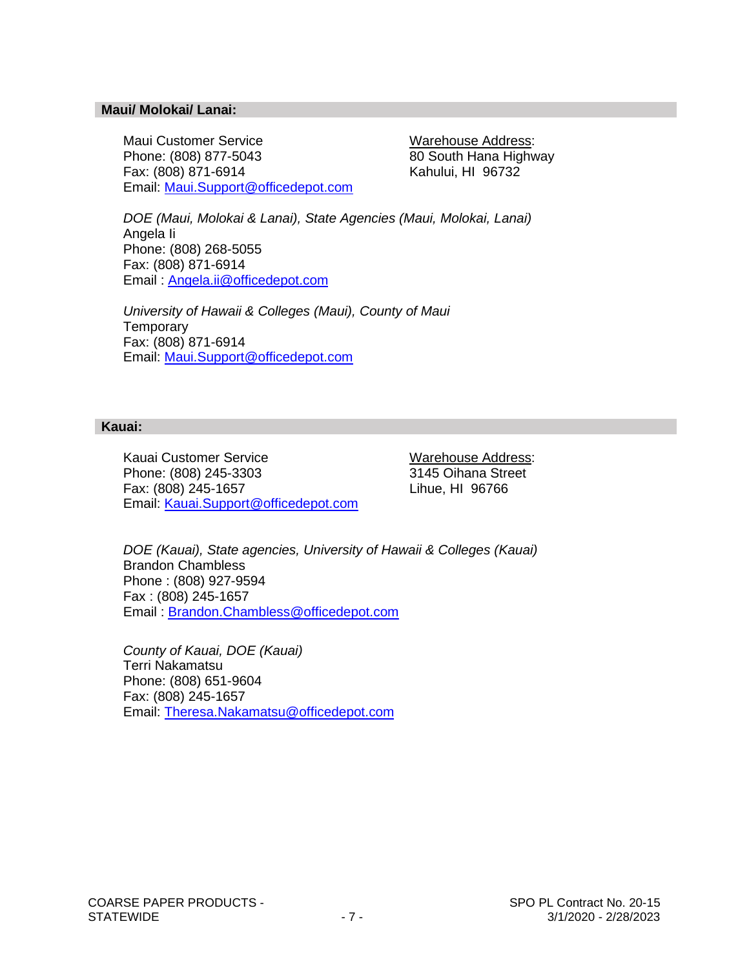#### **Maui/ Molokai/ Lanai:**

Maui Customer Service Warehouse Address: Phone: (808) 877-5043 80 South Hana Highway Fax: (808) 871-6914 Kahului, HI 96732 Email: [Maui.Support@officedepot.com](mailto:Maui.Support@officedepot.com)

*DOE (Maui, Molokai & Lanai), State Agencies (Maui, Molokai, Lanai)*  Angela Ii Phone: (808) 268-5055 Fax: (808) 871-6914 Email : [Angela.ii@officedepot.com](mailto:Angela.ii@officedepot.com)

*University of Hawaii & Colleges (Maui), County of Maui* **Temporary** Fax: (808) 871-6914 Email: [Maui.Support@officedepot.com](mailto:Maui.Support@officedepot.com)

#### **Kauai:**

Kauai Customer Service<br>
Phone: (808) 245-3303<br>
2145 Oihana Street Phone: (808) 245-3303 Fax: (808) 245-1657 Lihue, HI 96766 Email: [Kauai.Support@officedepot.com](mailto:Kauai.Support@officedepot.com)

*DOE (Kauai), State agencies, University of Hawaii & Colleges (Kauai)* Brandon Chambless Phone : (808) 927-9594 Fax : (808) 245-1657 Email : [Brandon.Chambless@officedepot.com](mailto:Brandon.Chambless@officedepot.com)

*County of Kauai, DOE (Kauai)* Terri Nakamatsu Phone: (808) 651-9604 Fax: (808) 245-1657 Email: [Theresa.Nakamatsu@officedepot.com](mailto:Theresa.Nakamatsu@officedepot.com)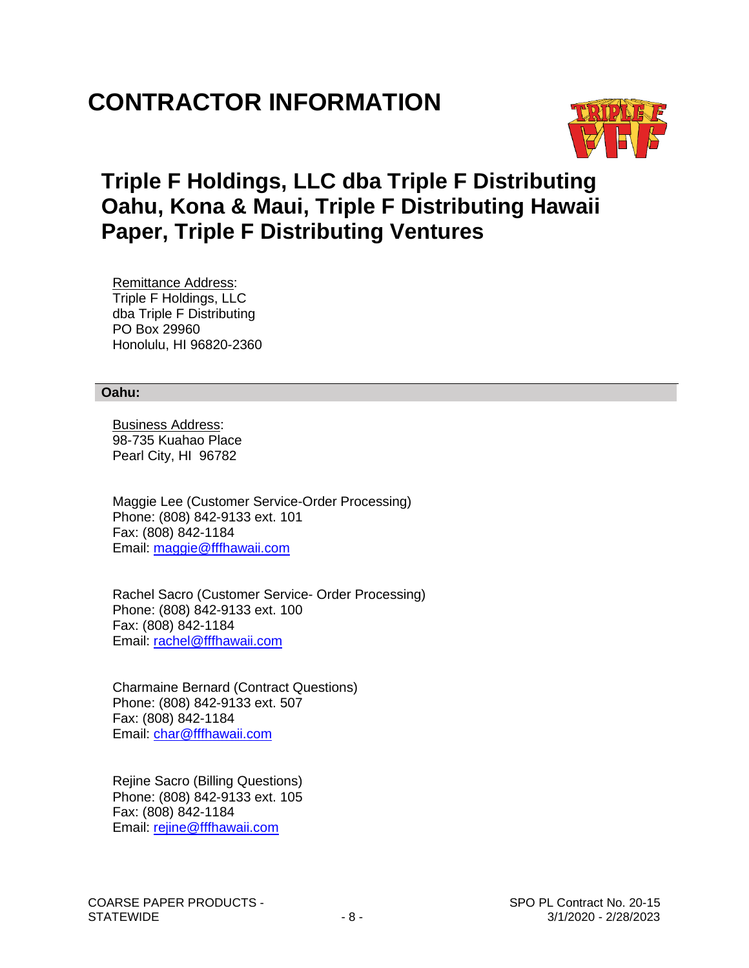# **CONTRACTOR INFORMATION**



### **Triple F Holdings, LLC dba Triple F Distributing Oahu, Kona & Maui, Triple F Distributing Hawaii Paper, Triple F Distributing Ventures**

 Remittance Address: Triple F Holdings, LLC dba Triple F Distributing PO Box 29960 Honolulu, HI 96820-2360

#### **Oahu:**

 Business Address: 98-735 Kuahao Place Pearl City, HI 96782

 Maggie Lee (Customer Service-Order Processing) Phone: (808) 842-9133 ext. 101 Fax: (808) 842-1184 Email: [maggie@fffhawaii.com](mailto:maggie@fffhawaii.com)

 Rachel Sacro (Customer Service- Order Processing) Phone: (808) 842-9133 ext. 100 Fax: (808) 842-1184 Email: [rachel@fffhawaii.com](mailto:rachel@fffhawaii.com)

 Charmaine Bernard (Contract Questions) Phone: (808) 842-9133 ext. 507 Fax: (808) 842-1184 Email: [char@fffhawaii.com](mailto:char@fffhawaii.com)

 Rejine Sacro (Billing Questions) Phone: (808) 842-9133 ext. 105 Fax: (808) 842-1184 Email: [rejine@fffhawaii.com](mailto:rejine@fffhawaii.com)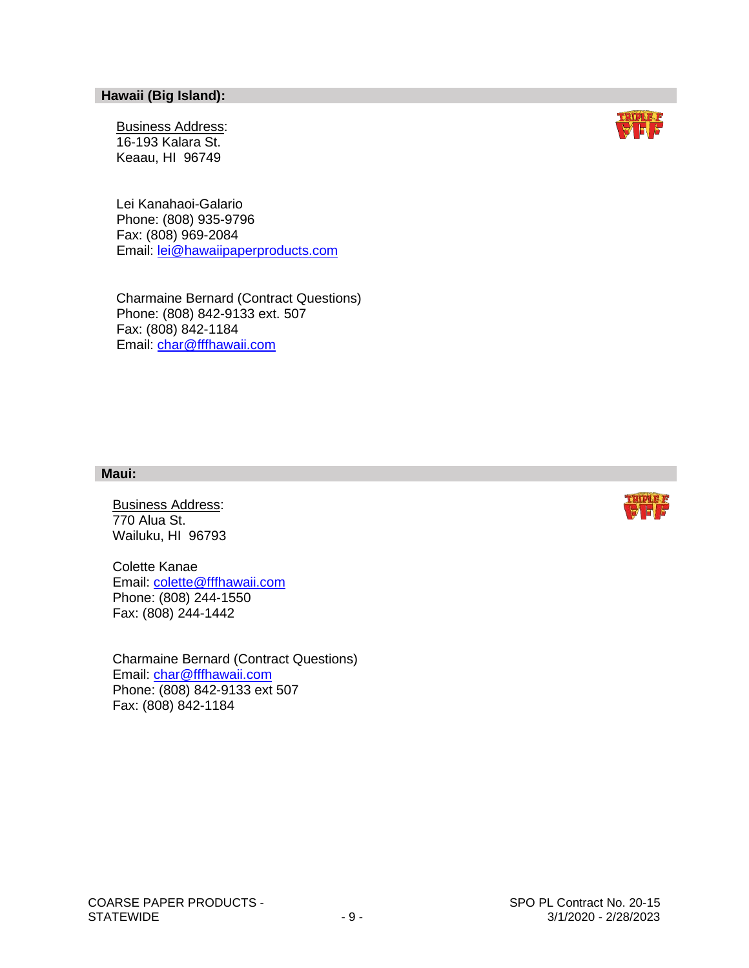#### **Hawaii (Big Island):**

 Business Address: 16-193 Kalara St. Keaau, HI 96749

 Lei Kanahaoi-Galario Phone: (808) 935-9796 Fax: (808) 969-2084 Email: [lei@hawaiipaperproducts.com](mailto:lei@hawaiipaperproducts.com)

 Charmaine Bernard (Contract Questions) Phone: (808) 842-9133 ext. 507 Fax: (808) 842-1184 Email: [char@fffhawaii.com](mailto:char@fffhawaii.com)

#### **Maui:**

 Business Address: 770 Alua St. Wailuku, HI 96793

 Colette Kanae Email: colette@fffhawaii.com Phone: (808) 244-1550 Fax: (808) 244-1442

 Charmaine Bernard (Contract Questions) Email: [char@fffhawaii.com](mailto:char@fffhawaii.com) Phone: (808) 842-9133 ext 507 Fax: (808) 842-1184



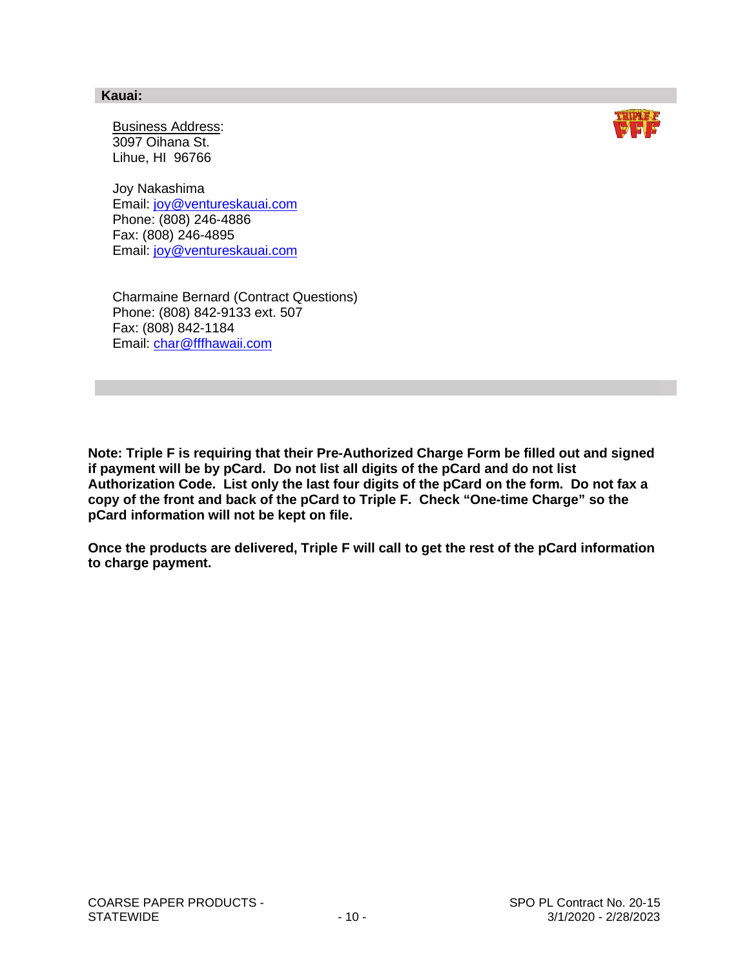#### **Kauai:**

 Business Address: 3097 Oihana St. Lihue, HI 96766

 Joy Nakashima Email: [joy@ventureskauai.com](mailto:joy@ventureskauai.com) Phone: (808) 246-4886 Fax: (808) 246-4895 Email: [joy@ventureskauai.com](mailto:joy@ventureskauai.com)

 Charmaine Bernard (Contract Questions) Phone: (808) 842-9133 ext. 507 Fax: (808) 842-1184 Email: [char@fffhawaii.com](mailto:char@fffhawaii.com)

**Note: Triple F is requiring that their Pre-Authorized Charge Form be filled out and signed if payment will be by pCard. Do not list all digits of the pCard and do not list Authorization Code. List only the last four digits of the pCard on the form. Do not fax a copy of the front and back of the pCard to Triple F. Check "One-time Charge" so the pCard information will not be kept on file.**

**Once the products are delivered, Triple F will call to get the rest of the pCard information to charge payment.**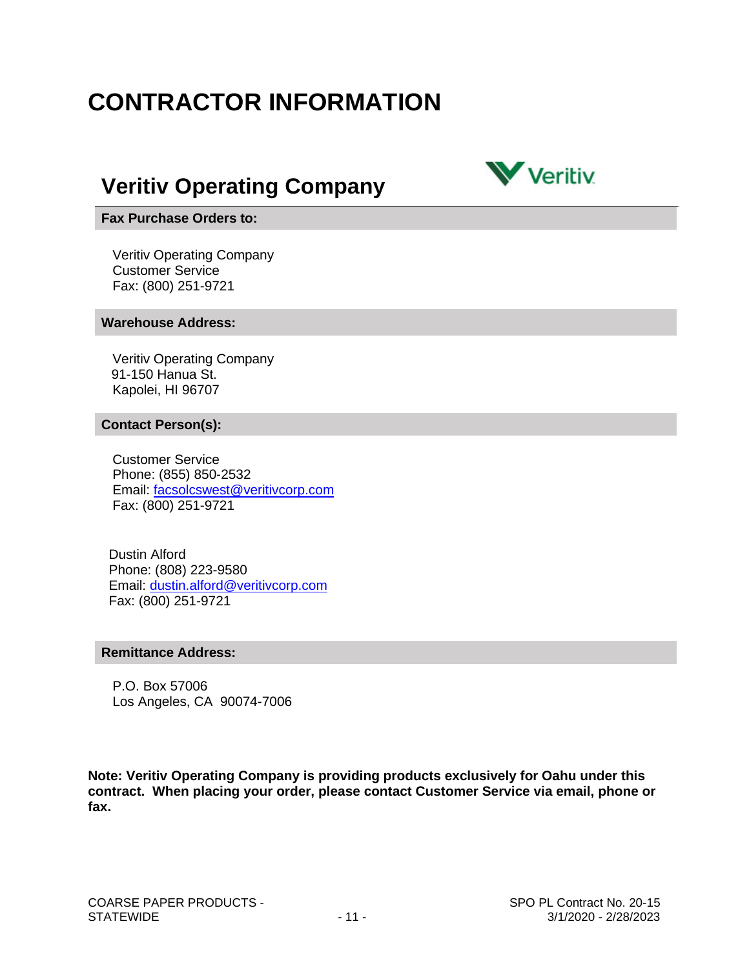# **CONTRACTOR INFORMATION**

### **Veritiv Operating Company**



#### **Fax Purchase Orders to:**

 Veritiv Operating Company Customer Service Fax: (800) 251-9721

#### **Warehouse Address:**

 Veritiv Operating Company 91-150 Hanua St. Kapolei, HI 96707

#### **Contact Person(s):**

 Customer Service Phone: (855) 850-2532 Email: [facsolcswest@veritivcorp.com](mailto:facsolcswest@veritivcorp.com) Fax: (800) 251-9721

 Dustin Alford Phone: (808) 223-9580 Email: [dustin.alford@veritivcorp.com](mailto:dustin.alford@veritivcorp.com) Fax: (800) 251-9721

#### **Remittance Address:**

 P.O. Box 57006 Los Angeles, CA 90074-7006

**Note: Veritiv Operating Company is providing products exclusively for Oahu under this contract. When placing your order, please contact Customer Service via email, phone or fax.**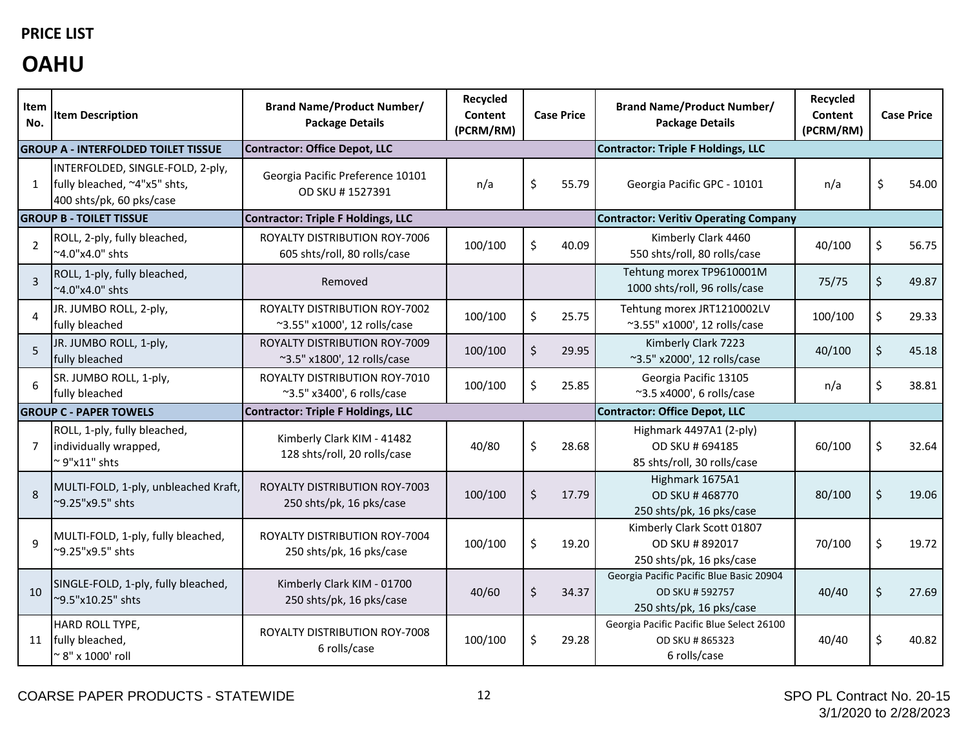### **PRICE LIST**

## **OAHU**

| Item<br>No.                   | <b>Item Description</b>                                                                      | <b>Brand Name/Product Number/</b><br><b>Package Details</b>   | Recycled<br>Content<br>(PCRM/RM) | <b>Case Price</b>                    |       | <b>Brand Name/Product Number/</b><br><b>Package Details</b>                             | Recycled<br><b>Content</b><br>(PCRM/RM) |    | <b>Case Price</b> |
|-------------------------------|----------------------------------------------------------------------------------------------|---------------------------------------------------------------|----------------------------------|--------------------------------------|-------|-----------------------------------------------------------------------------------------|-----------------------------------------|----|-------------------|
|                               | <b>GROUP A - INTERFOLDED TOILET TISSUE</b>                                                   | Contractor: Office Depot, LLC                                 |                                  |                                      |       | <b>Contractor: Triple F Holdings, LLC</b>                                               |                                         |    |                   |
| $\mathbf{1}$                  | INTERFOLDED, SINGLE-FOLD, 2-ply,<br>fully bleached, ~4"x5" shts,<br>400 shts/pk, 60 pks/case | Georgia Pacific Preference 10101<br>OD SKU #1527391           | n/a                              | Ś.                                   | 55.79 | Georgia Pacific GPC - 10101                                                             | n/a                                     | Ś  | 54.00             |
|                               | <b>GROUP B - TOILET TISSUE</b>                                                               | Contractor: Triple F Holdings, LLC                            |                                  |                                      |       | <b>Contractor: Veritiv Operating Company</b>                                            |                                         |    |                   |
| $\overline{2}$                | ROLL, 2-ply, fully bleached,<br>~4.0"x4.0" shts                                              | ROYALTY DISTRIBUTION ROY-7006<br>605 shts/roll, 80 rolls/case | 100/100                          | \$                                   | 40.09 | Kimberly Clark 4460<br>550 shts/roll, 80 rolls/case                                     | 40/100                                  | \$ | 56.75             |
| $\overline{3}$                | ROLL, 1-ply, fully bleached,<br>~4.0"x4.0" shts                                              | Removed                                                       |                                  |                                      |       | Tehtung morex TP9610001M<br>1000 shts/roll, 96 rolls/case                               | 75/75                                   | \$ | 49.87             |
| $\overline{4}$                | JR. JUMBO ROLL, 2-ply,<br>fully bleached                                                     | ROYALTY DISTRIBUTION ROY-7002<br>~3.55" x1000', 12 rolls/case | 100/100                          | \$                                   | 25.75 | Tehtung morex JRT1210002LV<br>~3.55" x1000', 12 rolls/case                              | 100/100                                 | \$ | 29.33             |
| 5                             | JR. JUMBO ROLL, 1-ply,<br>fully bleached                                                     | ROYALTY DISTRIBUTION ROY-7009<br>~3.5" x1800', 12 rolls/case  | 100/100                          | \$                                   | 29.95 | Kimberly Clark 7223<br>~3.5" x2000', 12 rolls/case                                      | 40/100                                  | \$ | 45.18             |
| 6                             | SR. JUMBO ROLL, 1-ply,<br>fully bleached                                                     | ROYALTY DISTRIBUTION ROY-7010<br>~3.5" x3400', 6 rolls/case   | 100/100                          | \$                                   | 25.85 | Georgia Pacific 13105<br>~3.5 x4000', 6 rolls/case                                      | n/a                                     | \$ | 38.81             |
| <b>GROUP C - PAPER TOWELS</b> |                                                                                              | Contractor: Triple F Holdings, LLC                            |                                  | <b>Contractor: Office Depot, LLC</b> |       |                                                                                         |                                         |    |                   |
| $\overline{7}$                | ROLL, 1-ply, fully bleached,<br>individually wrapped,<br>$\sim$ 9"x11" shts                  | Kimberly Clark KIM - 41482<br>128 shts/roll, 20 rolls/case    | 40/80                            | Ś.                                   | 28.68 | Highmark 4497A1 (2-ply)<br>OD SKU # 694185<br>85 shts/roll, 30 rolls/case               | 60/100                                  | Ś  | 32.64             |
| 8                             | MULTI-FOLD, 1-ply, unbleached Kraft,<br>~9.25"x9.5" shts                                     | ROYALTY DISTRIBUTION ROY-7003<br>250 shts/pk, 16 pks/case     | 100/100                          | \$                                   | 17.79 | Highmark 1675A1<br>OD SKU #468770<br>250 shts/pk, 16 pks/case                           | 80/100                                  | \$ | 19.06             |
| $\mathsf{q}$                  | MULTI-FOLD, 1-ply, fully bleached,<br>~9.25"x9.5" shts                                       | ROYALTY DISTRIBUTION ROY-7004<br>250 shts/pk, 16 pks/case     | 100/100                          | \$                                   | 19.20 | Kimberly Clark Scott 01807<br>OD SKU #892017<br>250 shts/pk, 16 pks/case                | 70/100                                  | \$ | 19.72             |
| 10                            | SINGLE-FOLD, 1-ply, fully bleached,<br>~9.5"x10.25" shts                                     | Kimberly Clark KIM - 01700<br>250 shts/pk, 16 pks/case        | 40/60                            | \$                                   | 34.37 | Georgia Pacific Pacific Blue Basic 20904<br>OD SKU # 592757<br>250 shts/pk, 16 pks/case | 40/40                                   | \$ | 27.69             |
| 11                            | HARD ROLL TYPE,<br>fully bleached,<br>$^{\sim}$ 8" x 1000' roll                              | ROYALTY DISTRIBUTION ROY-7008<br>6 rolls/case                 | 100/100                          | \$                                   | 29.28 | Georgia Pacific Pacific Blue Select 26100<br>OD SKU #865323<br>6 rolls/case             | 40/40                                   | Ś  | 40.82             |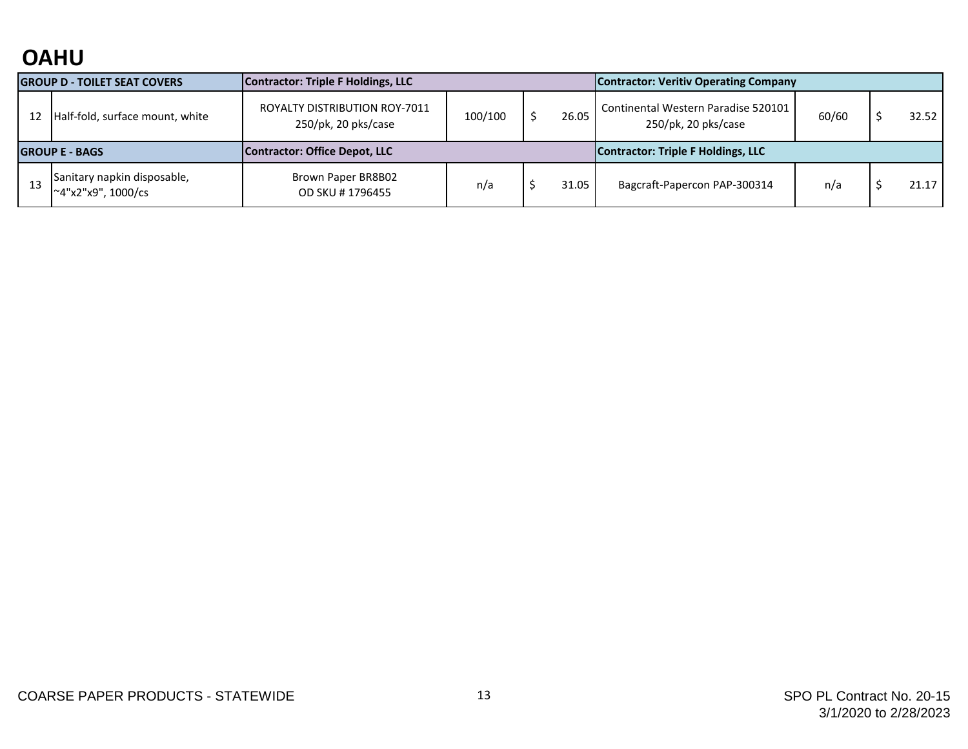## **OAHU**

| <b>GROUP D - TOILET SEAT COVERS</b> |                                                   | Contractor: Triple F Holdings, LLC                   |         |       |                                    | <b>Contractor: Veritiv Operating Company</b>               |       |  |       |
|-------------------------------------|---------------------------------------------------|------------------------------------------------------|---------|-------|------------------------------------|------------------------------------------------------------|-------|--|-------|
| 12                                  | Half-fold, surface mount, white                   | ROYALTY DISTRIBUTION ROY-7011<br>250/pk, 20 pks/case | 100/100 | 26.05 |                                    | Continental Western Paradise 520101<br>250/pk, 20 pks/case | 60/60 |  | 32.52 |
| <b>IGROUP E - BAGS</b>              |                                                   | Contractor: Office Depot, LLC                        |         |       | Contractor: Triple F Holdings, LLC |                                                            |       |  |       |
|                                     | Sanitary napkin disposable,<br>~4"x2"x9", 1000/cs | Brown Paper BR8B02<br>OD SKU #1796455                | n/a     |       | 31.05                              | Bagcraft-Papercon PAP-300314                               | n/a   |  | 21.17 |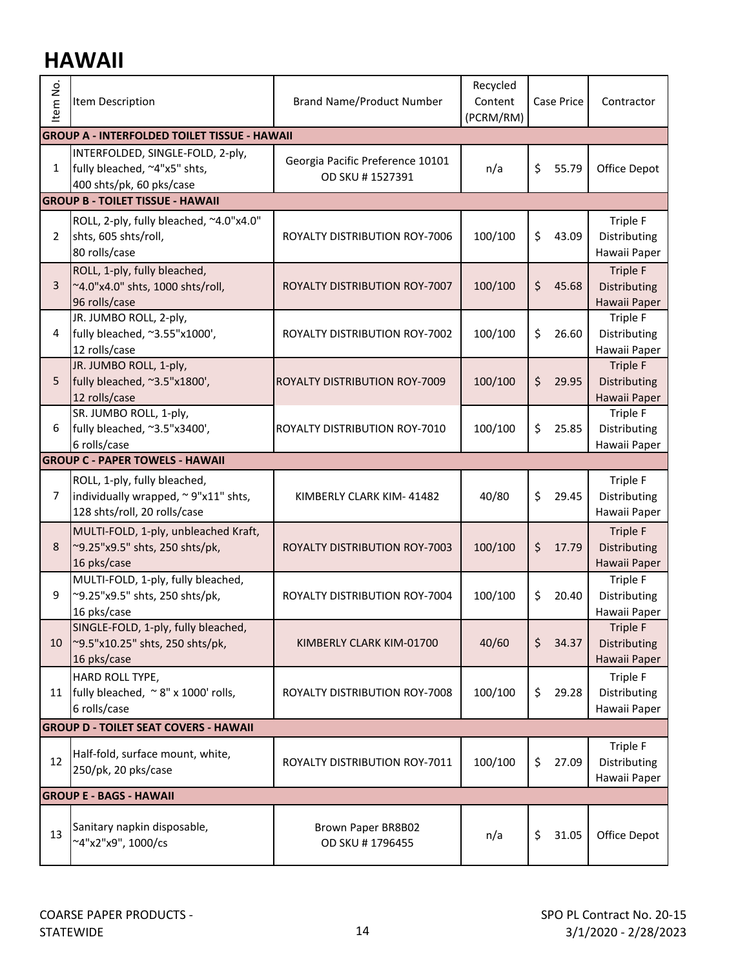## **HAWAII**

| tem No.        | Item Description                                                                                    | <b>Brand Name/Product Number</b>                    | Recycled<br>Content<br>(PCRM/RM) |    | <b>Case Price</b> | Contractor                                             |  |  |  |
|----------------|-----------------------------------------------------------------------------------------------------|-----------------------------------------------------|----------------------------------|----|-------------------|--------------------------------------------------------|--|--|--|
|                | <b>GROUP A - INTERFOLDED TOILET TISSUE - HAWAII</b>                                                 |                                                     |                                  |    |                   |                                                        |  |  |  |
| $\mathbf{1}$   | INTERFOLDED, SINGLE-FOLD, 2-ply,<br>fully bleached, ~4"x5" shts,<br>400 shts/pk, 60 pks/case        | Georgia Pacific Preference 10101<br>OD SKU #1527391 | n/a                              | \$ | 55.79             | Office Depot                                           |  |  |  |
|                | <b>GROUP B - TOILET TISSUE - HAWAII</b>                                                             |                                                     |                                  |    |                   |                                                        |  |  |  |
| 2              | ROLL, 2-ply, fully bleached, ~4.0"x4.0"<br>shts, 605 shts/roll,<br>80 rolls/case                    | ROYALTY DISTRIBUTION ROY-7006                       | 100/100                          | \$ | 43.09             | Triple F<br>Distributing<br>Hawaii Paper               |  |  |  |
| 3              | ROLL, 1-ply, fully bleached,<br>~4.0"x4.0" shts, 1000 shts/roll,<br>96 rolls/case                   | ROYALTY DISTRIBUTION ROY-7007                       | 100/100                          | \$ | 45.68             | <b>Triple F</b><br><b>Distributing</b><br>Hawaii Paper |  |  |  |
| 4              | JR. JUMBO ROLL, 2-ply,<br>fully bleached, ~3.55"x1000',<br>12 rolls/case                            | ROYALTY DISTRIBUTION ROY-7002                       | 100/100                          | \$ | 26.60             | <b>Triple F</b><br>Distributing<br>Hawaii Paper        |  |  |  |
| 5              | JR. JUMBO ROLL, 1-ply,<br>fully bleached, ~3.5"x1800',<br>12 rolls/case                             | ROYALTY DISTRIBUTION ROY-7009                       | 100/100                          | \$ | 29.95             | <b>Triple F</b><br>Distributing<br>Hawaii Paper        |  |  |  |
| 6              | SR. JUMBO ROLL, 1-ply,<br>fully bleached, ~3.5"x3400',<br>6 rolls/case                              | ROYALTY DISTRIBUTION ROY-7010                       | 100/100                          | \$ | 25.85             | Triple F<br>Distributing<br>Hawaii Paper               |  |  |  |
|                | <b>GROUP C - PAPER TOWELS - HAWAII</b>                                                              |                                                     |                                  |    |                   |                                                        |  |  |  |
| $\overline{7}$ | ROLL, 1-ply, fully bleached,<br>individually wrapped, ~9"x11" shts,<br>128 shts/roll, 20 rolls/case | KIMBERLY CLARK KIM-41482                            | 40/80                            | \$ | 29.45             | Triple F<br>Distributing<br>Hawaii Paper               |  |  |  |
| 8              | MULTI-FOLD, 1-ply, unbleached Kraft,<br>~9.25"x9.5" shts, 250 shts/pk,<br>16 pks/case               | ROYALTY DISTRIBUTION ROY-7003                       | 100/100                          | \$ | 17.79             | <b>Triple F</b><br>Distributing<br>Hawaii Paper        |  |  |  |
| 9              | MULTI-FOLD, 1-ply, fully bleached,<br>~9.25"x9.5" shts, 250 shts/pk,<br>16 pks/case                 | ROYALTY DISTRIBUTION ROY-7004                       | 100/100                          | \$ | 20.40             | <b>Triple F</b><br>Distributing<br>Hawaii Paper        |  |  |  |
| 10             | SINGLE-FOLD, 1-ply, fully bleached,<br>~9.5"x10.25" shts, 250 shts/pk,<br>16 pks/case               | KIMBERLY CLARK KIM-01700                            | 40/60                            | \$ | 34.37             | <b>Triple F</b><br>Distributing<br>Hawaii Paper        |  |  |  |
| 11             | HARD ROLL TYPE,<br>fully bleached, ~8" x 1000' rolls,<br>6 rolls/case                               | ROYALTY DISTRIBUTION ROY-7008                       | 100/100                          | \$ | 29.28             | Triple F<br>Distributing<br>Hawaii Paper               |  |  |  |
|                | <b>GROUP D - TOILET SEAT COVERS - HAWAII</b>                                                        |                                                     |                                  |    |                   |                                                        |  |  |  |
| 12             | Half-fold, surface mount, white,<br>250/pk, 20 pks/case                                             | ROYALTY DISTRIBUTION ROY-7011                       | 100/100                          | \$ | 27.09             | Triple F<br>Distributing<br>Hawaii Paper               |  |  |  |
|                | <b>GROUP E - BAGS - HAWAII</b>                                                                      |                                                     |                                  |    |                   |                                                        |  |  |  |
| 13             | Sanitary napkin disposable,<br>~4"x2"x9", 1000/cs                                                   | Brown Paper BR8B02<br>OD SKU #1796455               | n/a                              | \$ | 31.05             | Office Depot                                           |  |  |  |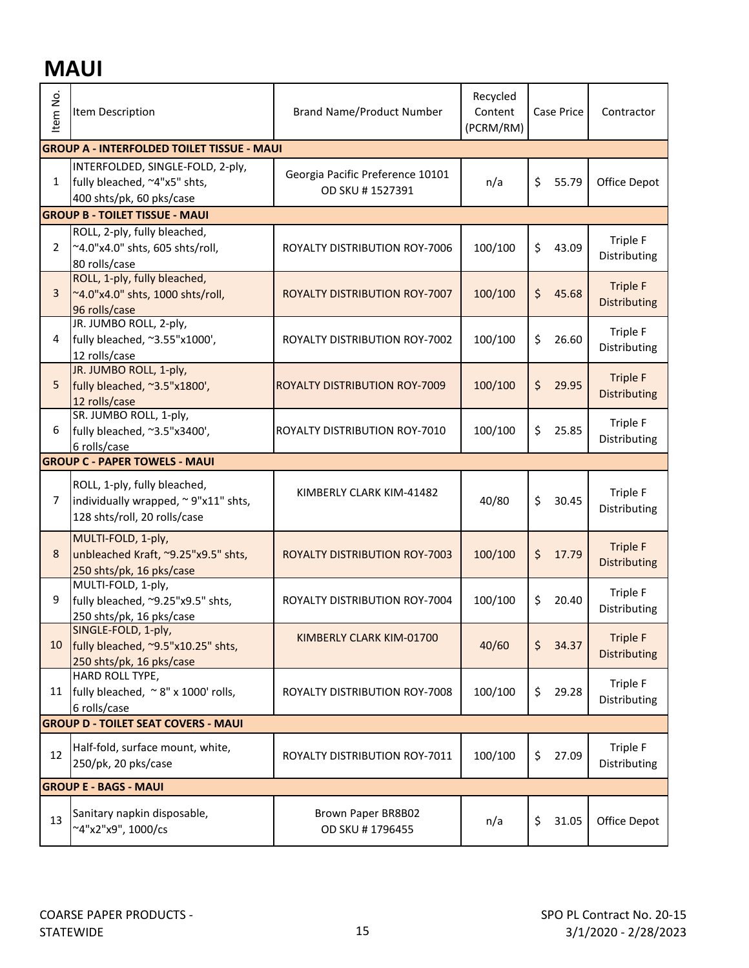## **MAUI**

| Item No.                     | Item Description                                                                                    | <b>Brand Name/Product Number</b>                    | Recycled<br>Content<br>(PCRM/RM) | Contractor  |                                        |  |
|------------------------------|-----------------------------------------------------------------------------------------------------|-----------------------------------------------------|----------------------------------|-------------|----------------------------------------|--|
|                              | <b>GROUP A - INTERFOLDED TOILET TISSUE - MAUI</b>                                                   |                                                     |                                  |             |                                        |  |
| 1                            | INTERFOLDED, SINGLE-FOLD, 2-ply,<br>fully bleached, ~4"x5" shts,<br>400 shts/pk, 60 pks/case        | Georgia Pacific Preference 10101<br>OD SKU #1527391 | n/a                              | \$<br>55.79 | Office Depot                           |  |
|                              | <b>GROUP B - TOILET TISSUE - MAUI</b>                                                               |                                                     |                                  |             |                                        |  |
| 2                            | ROLL, 2-ply, fully bleached,<br>~4.0"x4.0" shts, 605 shts/roll,<br>80 rolls/case                    | ROYALTY DISTRIBUTION ROY-7006                       | 100/100                          | \$<br>43.09 | Triple F<br>Distributing               |  |
| $\overline{3}$               | ROLL, 1-ply, fully bleached,<br>~4.0"x4.0" shts, 1000 shts/roll,<br>96 rolls/case                   | ROYALTY DISTRIBUTION ROY-7007                       | 100/100                          | \$<br>45.68 | <b>Triple F</b><br>Distributing        |  |
| 4                            | JR. JUMBO ROLL, 2-ply,<br>fully bleached, ~3.55"x1000',<br>12 rolls/case                            | ROYALTY DISTRIBUTION ROY-7002                       | 100/100                          | \$<br>26.60 | Triple F<br>Distributing               |  |
| 5                            | JR. JUMBO ROLL, 1-ply,<br>fully bleached, ~3.5"x1800',<br>12 rolls/case                             | <b>ROYALTY DISTRIBUTION ROY-7009</b>                | 100/100                          | \$<br>29.95 | <b>Triple F</b><br><b>Distributing</b> |  |
| 6                            | SR. JUMBO ROLL, 1-ply,<br>fully bleached, ~3.5"x3400',<br>6 rolls/case                              | <b>ROYALTY DISTRIBUTION ROY-7010</b>                | 100/100                          | \$<br>25.85 | Triple F<br>Distributing               |  |
|                              | <b>GROUP C - PAPER TOWELS - MAUI</b>                                                                |                                                     |                                  |             |                                        |  |
| 7                            | ROLL, 1-ply, fully bleached,<br>individually wrapped, ~9"x11" shts,<br>128 shts/roll, 20 rolls/case | KIMBERLY CLARK KIM-41482                            | 40/80                            | \$<br>30.45 | Triple F<br>Distributing               |  |
| 8                            | MULTI-FOLD, 1-ply,<br>unbleached Kraft, ~9.25"x9.5" shts,<br>250 shts/pk, 16 pks/case               | ROYALTY DISTRIBUTION ROY-7003                       | 100/100                          | \$<br>17.79 | <b>Triple F</b><br><b>Distributing</b> |  |
| 9                            | MULTI-FOLD, 1-ply,<br>fully bleached, ~9.25"x9.5" shts,<br>250 shts/pk, 16 pks/case                 | ROYALTY DISTRIBUTION ROY-7004                       | 100/100                          | \$<br>20.40 | Triple F<br>Distributing               |  |
| 10                           | SINGLE-FOLD, 1-ply,<br>fully bleached, ~9.5"x10.25" shts,<br>250 shts/pk, 16 pks/case               | KIMBERLY CLARK KIM-01700                            | 40/60                            | \$<br>34.37 | <b>Triple F</b><br><b>Distributing</b> |  |
| 11                           | HARD ROLL TYPE,<br>fully bleached, ~8" x 1000' rolls,<br>6 rolls/case                               | ROYALTY DISTRIBUTION ROY-7008                       | 100/100                          | \$<br>29.28 | Triple F<br>Distributing               |  |
|                              | <b>GROUP D - TOILET SEAT COVERS - MAUI</b>                                                          |                                                     |                                  |             |                                        |  |
| 12                           | Half-fold, surface mount, white,<br>250/pk, 20 pks/case                                             | ROYALTY DISTRIBUTION ROY-7011                       | 100/100                          | \$<br>27.09 | Triple F<br>Distributing               |  |
| <b>GROUP E - BAGS - MAUI</b> |                                                                                                     |                                                     |                                  |             |                                        |  |
| 13                           | Sanitary napkin disposable,<br>~4"x2"x9", 1000/cs                                                   | Brown Paper BR8B02<br>OD SKU #1796455               | n/a                              | \$<br>31.05 | Office Depot                           |  |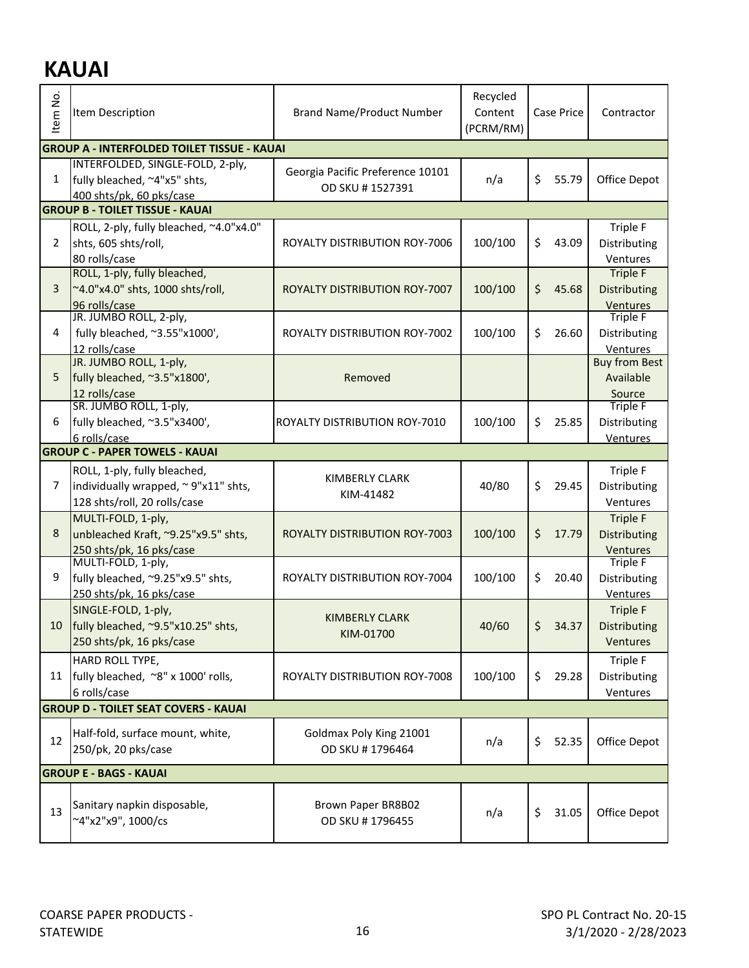## **KAUAI**

| Item No.       | Item Description                                                                             | <b>Brand Name/Product Number</b>                    | Recycled<br>Content<br>Case Price<br>(PCRM/RM) |             | Contractor                       |
|----------------|----------------------------------------------------------------------------------------------|-----------------------------------------------------|------------------------------------------------|-------------|----------------------------------|
|                | <b>GROUP A - INTERFOLDED TOILET TISSUE - KAUAI</b>                                           |                                                     |                                                |             |                                  |
| 1              | INTERFOLDED, SINGLE-FOLD, 2-ply,<br>fully bleached, ~4"x5" shts,<br>400 shts/pk, 60 pks/case | Georgia Pacific Preference 10101<br>OD SKU #1527391 | n/a                                            | \$<br>55.79 | Office Depot                     |
|                | <b>GROUP B - TOILET TISSUE - KAUAI</b>                                                       |                                                     |                                                |             |                                  |
|                | ROLL, 2-ply, fully bleached, ~4.0"x4.0"                                                      |                                                     |                                                |             | Triple F                         |
| 2              | shts, 605 shts/roll,                                                                         | ROYALTY DISTRIBUTION ROY-7006                       | 100/100                                        | \$<br>43.09 | Distributing                     |
|                | 80 rolls/case                                                                                |                                                     |                                                |             | Ventures                         |
|                | ROLL, 1-ply, fully bleached,                                                                 |                                                     |                                                |             | <b>Triple F</b>                  |
| 3              | ~4.0"x4.0" shts, 1000 shts/roll,                                                             | ROYALTY DISTRIBUTION ROY-7007                       | 100/100                                        | \$<br>45.68 | Distributing                     |
|                | 96 rolls/case                                                                                |                                                     |                                                |             | Ventures                         |
| 4              | JR. JUMBO ROLL, 2-ply,<br>fully bleached, ~3.55"x1000',                                      | ROYALTY DISTRIBUTION ROY-7002                       | 100/100                                        |             | <b>Triple F</b>                  |
|                |                                                                                              |                                                     |                                                | \$<br>26.60 | Distributing                     |
|                | 12 rolls/case<br>JR. JUMBO ROLL, 1-ply,                                                      |                                                     |                                                |             | Ventures<br><b>Buy from Best</b> |
| 5              | fully bleached, ~3.5"x1800',                                                                 | Removed                                             |                                                |             | Available                        |
|                | 12 rolls/case                                                                                |                                                     |                                                |             | Source                           |
|                | SR. JUMBO ROLL, 1-ply,                                                                       |                                                     |                                                |             | <b>Triple F</b>                  |
| 6              | fully bleached, ~3.5"x3400',                                                                 | <b>ROYALTY DISTRIBUTION ROY-7010</b>                | 100/100                                        | \$<br>25.85 | Distributing                     |
|                | 6 rolls/case                                                                                 |                                                     |                                                |             | Ventures                         |
|                | <b>GROUP C - PAPER TOWELS - KAUAI</b>                                                        |                                                     |                                                |             |                                  |
|                | ROLL, 1-ply, fully bleached,                                                                 | <b>KIMBERLY CLARK</b>                               |                                                |             | Triple F                         |
| $\overline{7}$ | individually wrapped, ~9"x11" shts,                                                          | KIM-41482                                           | 40/80                                          | \$<br>29.45 | Distributing                     |
|                | 128 shts/roll, 20 rolls/case                                                                 |                                                     |                                                |             | Ventures                         |
|                | MULTI-FOLD, 1-ply,                                                                           |                                                     |                                                |             | <b>Triple F</b>                  |
| 8              | unbleached Kraft, ~9.25"x9.5" shts,                                                          | ROYALTY DISTRIBUTION ROY-7003                       | 100/100                                        | \$<br>17.79 | <b>Distributing</b>              |
|                | 250 shts/pk, 16 pks/case                                                                     |                                                     |                                                |             | Ventures                         |
|                | MULTI-FOLD, 1-ply,                                                                           |                                                     |                                                |             | <b>Triple F</b>                  |
| 9              | fully bleached, ~9.25"x9.5" shts,                                                            | ROYALTY DISTRIBUTION ROY-7004                       | 100/100                                        | \$<br>20.40 | Distributing                     |
|                | 250 shts/pk, 16 pks/case                                                                     |                                                     |                                                |             | Ventures                         |
|                | SINGLE-FOLD, 1-ply,                                                                          | <b>KIMBERLY CLARK</b>                               |                                                |             | <b>Triple F</b>                  |
| 10             | fully bleached, ~9.5"x10.25" shts,                                                           | KIM-01700                                           | 40/60                                          | \$<br>34.37 | Distributing                     |
|                | 250 shts/pk, 16 pks/case                                                                     |                                                     |                                                |             | Ventures                         |
|                | HARD ROLL TYPE,                                                                              |                                                     |                                                |             | Triple F                         |
| 11             | fully bleached, ~8" x 1000' rolls,                                                           | ROYALTY DISTRIBUTION ROY-7008                       | 100/100                                        | \$<br>29.28 | Distributing                     |
|                | 6 rolls/case                                                                                 |                                                     |                                                |             | Ventures                         |
|                | <b>GROUP D - TOILET SEAT COVERS - KAUAI</b>                                                  |                                                     |                                                |             |                                  |
|                | Half-fold, surface mount, white,                                                             | Goldmax Poly King 21001                             |                                                |             |                                  |
| 12             | 250/pk, 20 pks/case                                                                          | OD SKU #1796464                                     | n/a                                            | \$<br>52.35 | Office Depot                     |
|                | <b>GROUP E - BAGS - KAUAI</b>                                                                |                                                     |                                                |             |                                  |
|                |                                                                                              |                                                     |                                                |             |                                  |
| 13             | Sanitary napkin disposable,                                                                  | Brown Paper BR8B02                                  |                                                | \$<br>31.05 | Office Depot                     |
|                | ~4"x2"x9", 1000/cs                                                                           | OD SKU #1796455                                     | n/a                                            |             |                                  |
|                |                                                                                              |                                                     |                                                |             |                                  |